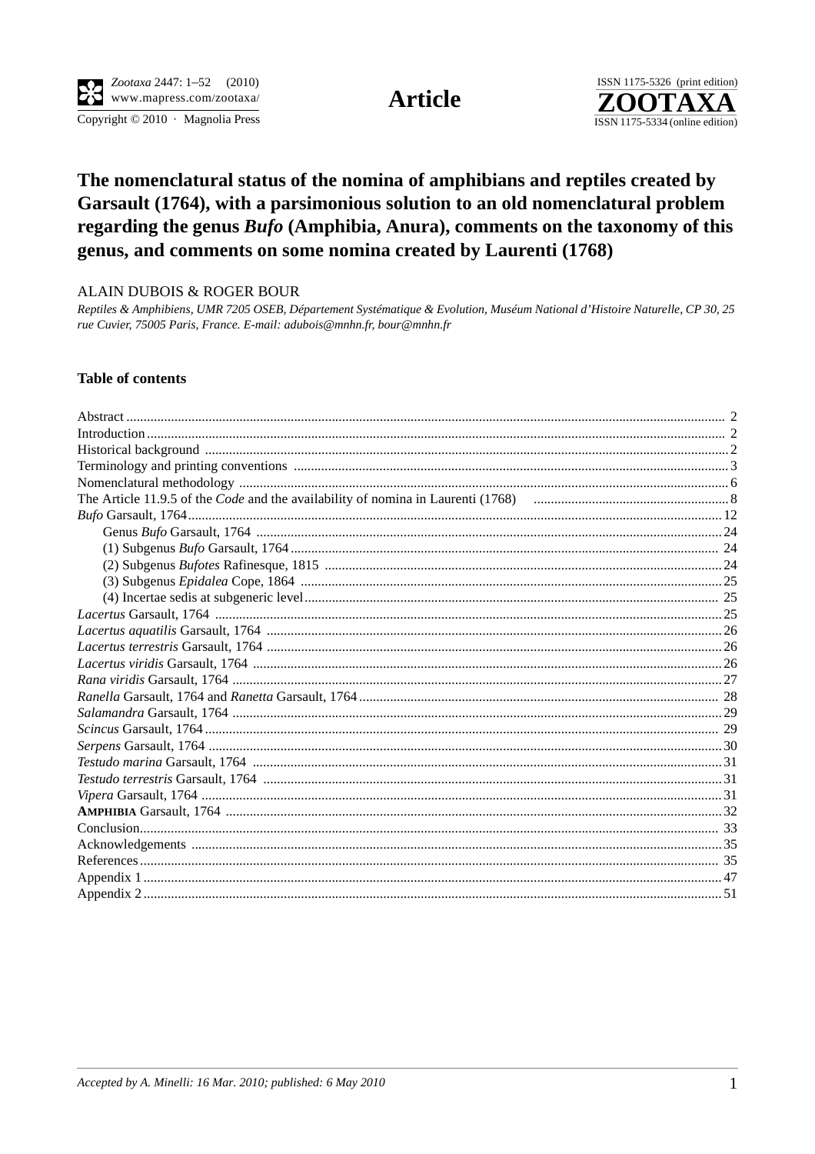Copyright © 2010 · Magnolia Press

**Article** 



# The nomenclatural status of the nomina of amphibians and reptiles created by Garsault (1764), with a parsimonious solution to an old nomenclatural problem regarding the genus Bufo (Amphibia, Anura), comments on the taxonomy of this genus, and comments on some nomina created by Laurenti (1768)

#### ALAIN DUBOIS & ROGER BOUR

Reptiles & Amphibiens, UMR 7205 OSEB, Département Systématique & Evolution, Muséum National d'Histoire Naturelle, CP 30, 25 rue Cuvier, 75005 Paris, France. E-mail: adubois@mnhn.fr, bour@mnhn.fr

#### **Table of contents**